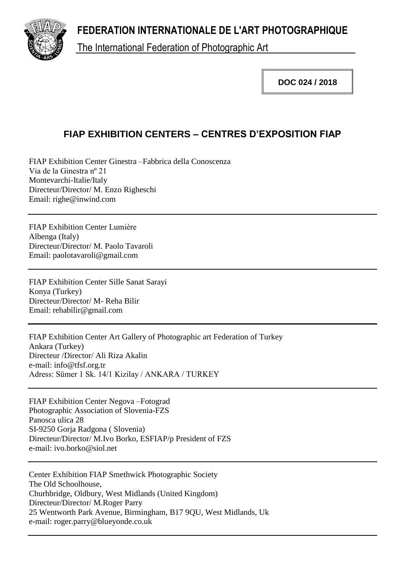**FEDERATION INTERNATIONALE DE L'ART PHOTOGRAPHIQUE**



The International Federation of Photographic Art

**DOC 024 / 2018**

## **FIAP EXHIBITION CENTERS – CENTRES D'EXPOSITION FIAP**

FIAP Exhibition Center Ginestra –Fabbrica della Conoscenza Via de la Ginestra nº 21 Montevarchi-Italie/Italy Directeur/Director/ M. Enzo Righeschi Email: righe@inwind.com

FIAP Exhibition Center Lumière Albenga (Italy) Directeur/Director/ M. Paolo Tavaroli Email: paolotavaroli@gmail.com

FIAP Exhibition Center Sille Sanat Sarayi Konya (Turkey) Directeur/Director/ M- Reha Bilir Email: rehabilir@gmail.com

FIAP Exhibition Center Art Gallery of Photographic art Federation of Turkey Ankara (Turkey) Directeur /Director/ Ali Riza Akalin e-mail: info@tfsf.org.tr Adress: Sümer 1 Sk. 14/1 Kizilay / ANKARA / TURKEY

FIAP Exhibition Center Negova –Fotograd Photographic Association of Slovenia-FZS Panosca ulica 28 SI-9250 Gorja Radgona ( Slovenia) Directeur/Director/ M.Ivo Borko, ESFIAP/p President of FZS e-mail: ivo.borko@siol.net

Center Exhibition FIAP Smethwick Photographic Society The Old Schoolhouse, Churhbridge, Oldbury, West Midlands (United Kingdom) Directeur/Director/ M.Roger Parry 25 Wentworth Park Avenue, Birmingham, B17 9QU, West Midlands, Uk e-mail: roger.parry@blueyonde.co.uk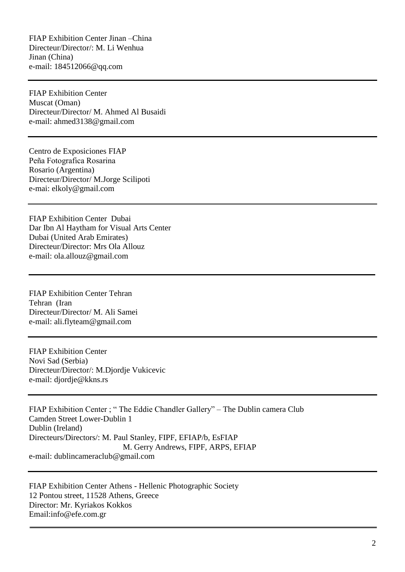FIAP Exhibition Center Jinan –China Directeur/Director/: M. Li Wenhua Jinan (China) e-mail: 184512066@qq.com

FIAP Exhibition Center Muscat (Oman) Directeur/Director/ M. Ahmed Al Busaidi e-mail: ahmed3138@gmail.com

Centro de Exposiciones FIAP Peña Fotografica Rosarina Rosario (Argentina) Directeur/Director/ M.Jorge Scilipoti e-mai: elkoly@gmail.com

FIAP Exhibition Center Dubai Dar Ibn Al Haytham for Visual Arts Center Dubai (United Arab Emirates) Directeur/Director: Mrs Ola Allouz e-mail: ola.allouz@gmail.com

FIAP Exhibition Center Tehran Tehran (Iran Directeur/Director/ M. Ali Samei e-mail: ali.flyteam@gmail.com

FIAP Exhibition Center Novi Sad (Serbia) Directeur/Director/: M.Djordje Vukicevic e-mail: djordje@kkns.rs

FIAP Exhibition Center ; " The Eddie Chandler Gallery" – The Dublin camera Club Camden Street Lower-Dublin 1 Dublin (Ireland) Directeurs/Directors/: M. Paul Stanley, FIPF, EFIAP/b, EsFIAP M. Gerry Andrews, FIPF, ARPS, EFIAP e-mail: dublincameraclub@gmail.com

FIAP Exhibition Center Athens - Hellenic Photographic Society 12 Pontou street, 11528 Athens, Greece Director: Mr. Kyriakos Kokkos Email:info@efe.com.gr